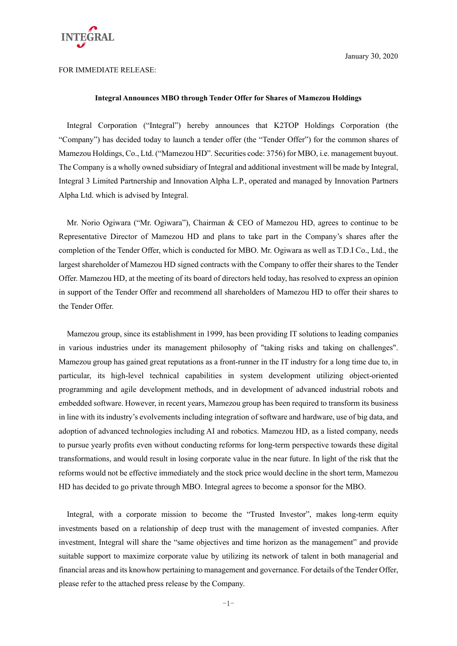

FOR IMMEDIATE RELEASE:

#### **Integral Announces MBO through Tender Offer for Shares of Mamezou Holdings**

Integral Corporation ("Integral") hereby announces that K2TOP Holdings Corporation (the "Company") has decided today to launch a tender offer (the "Tender Offer") for the common shares of Mamezou Holdings, Co., Ltd. ("Mamezou HD". Securities code: 3756) for MBO, i.e. management buyout. The Company is a wholly owned subsidiary of Integral and additional investment will be made by Integral, Integral 3 Limited Partnership and Innovation Alpha L.P., operated and managed by Innovation Partners Alpha Ltd. which is advised by Integral.

Mr. Norio Ogiwara ("Mr. Ogiwara"), Chairman & CEO of Mamezou HD, agrees to continue to be Representative Director of Mamezou HD and plans to take part in the Company's shares after the completion of the Tender Offer, which is conducted for MBO. Mr. Ogiwara as well as T.D.I Co., Ltd., the largest shareholder of Mamezou HD signed contracts with the Company to offer their shares to the Tender Offer. Mamezou HD, at the meeting of its board of directors held today, has resolved to express an opinion in support of the Tender Offer and recommend all shareholders of Mamezou HD to offer their shares to the Tender Offer.

Mamezou group, since its establishment in 1999, has been providing IT solutions to leading companies in various industries under its management philosophy of "taking risks and taking on challenges". Mamezou group has gained great reputations as a front-runner in the IT industry for a long time due to, in particular, its high-level technical capabilities in system development utilizing object-oriented programming and agile development methods, and in development of advanced industrial robots and embedded software. However, in recent years, Mamezou group has been required to transform its business in line with its industry's evolvements including integration of software and hardware, use of big data, and adoption of advanced technologies including AI and robotics. Mamezou HD, as a listed company, needs to pursue yearly profits even without conducting reforms for long-term perspective towards these digital transformations, and would result in losing corporate value in the near future. In light of the risk that the reforms would not be effective immediately and the stock price would decline in the short term, Mamezou HD has decided to go private through MBO. Integral agrees to become a sponsor for the MBO.

Integral, with a corporate mission to become the "Trusted Investor", makes long-term equity investments based on a relationship of deep trust with the management of invested companies. After investment, Integral will share the "same objectives and time horizon as the management" and provide suitable support to maximize corporate value by utilizing its network of talent in both managerial and financial areas and its knowhow pertaining to management and governance. For details of the Tender Offer, please refer to the attached press release by the Company.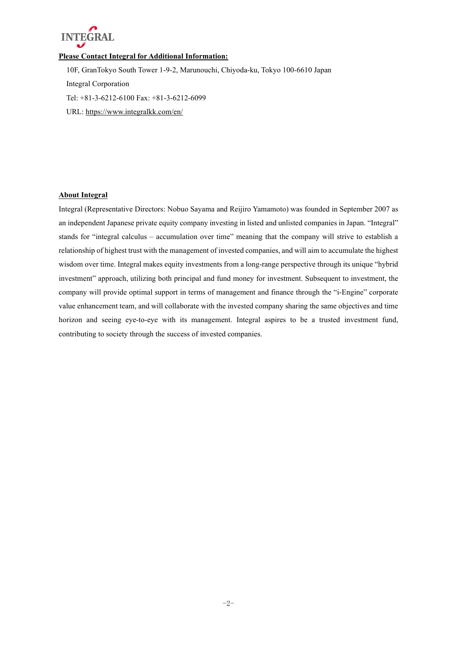

## **Please Contact Integral for Additional Information:**

10F, GranTokyo South Tower 1-9-2, Marunouchi, Chiyoda-ku, Tokyo 100-6610 Japan Integral Corporation Tel: +81-3-6212-6100 Fax: +81-3-6212-6099 URL: https://www.integralkk.com/en/

### **About Integral**

Integral (Representative Directors: Nobuo Sayama and Reijiro Yamamoto) was founded in September 2007 as an independent Japanese private equity company investing in listed and unlisted companies in Japan. "Integral" stands for "integral calculus – accumulation over time" meaning that the company will strive to establish a relationship of highest trust with the management of invested companies, and will aim to accumulate the highest wisdom over time. Integral makes equity investments from a long-range perspective through its unique "hybrid investment" approach, utilizing both principal and fund money for investment. Subsequent to investment, the company will provide optimal support in terms of management and finance through the "i-Engine" corporate value enhancement team, and will collaborate with the invested company sharing the same objectives and time horizon and seeing eye-to-eye with its management. Integral aspires to be a trusted investment fund, contributing to society through the success of invested companies.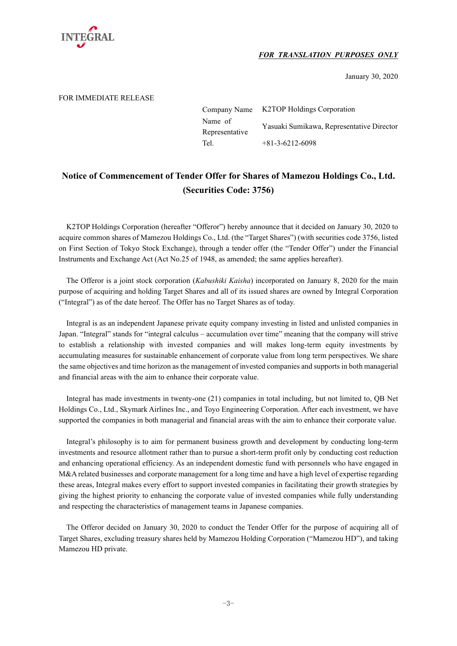

## *FOR TRANSLATION PURPOSES ONLY*

January 30, 2020

### FOR IMMEDIATE RELEASE

| Company Name   | <b>K2TOP Holdings Corporation</b>         |  |
|----------------|-------------------------------------------|--|
| Name of        | Yasuaki Sumikawa, Representative Director |  |
| Representative |                                           |  |
| Tel.           | $+81-3-6212-6098$                         |  |

# **Notice of Commencement of Tender Offer for Shares of Mamezou Holdings Co., Ltd. (Securities Code: 3756)**

K2TOP Holdings Corporation (hereafter "Offeror") hereby announce that it decided on January 30, 2020 to acquire common shares of Mamezou Holdings Co., Ltd. (the "Target Shares") (with securities code 3756, listed on First Section of Tokyo Stock Exchange), through a tender offer (the "Tender Offer") under the Financial Instruments and Exchange Act (Act No.25 of 1948, as amended; the same applies hereafter).

The Offeror is a joint stock corporation (*Kabushiki Kaisha*) incorporated on January 8, 2020 for the main purpose of acquiring and holding Target Shares and all of its issued shares are owned by Integral Corporation ("Integral") as of the date hereof. The Offer has no Target Shares as of today.

Integral is as an independent Japanese private equity company investing in listed and unlisted companies in Japan. "Integral" stands for "integral calculus – accumulation over time" meaning that the company will strive to establish a relationship with invested companies and will makes long-term equity investments by accumulating measures for sustainable enhancement of corporate value from long term perspectives. We share the same objectives and time horizon as the management of invested companies and supports in both managerial and financial areas with the aim to enhance their corporate value.

Integral has made investments in twenty-one (21) companies in total including, but not limited to, QB Net Holdings Co., Ltd., Skymark Airlines Inc., and Toyo Engineering Corporation. After each investment, we have supported the companies in both managerial and financial areas with the aim to enhance their corporate value.

Integral's philosophy is to aim for permanent business growth and development by conducting long-term investments and resource allotment rather than to pursue a short-term profit only by conducting cost reduction and enhancing operational efficiency. As an independent domestic fund with personnels who have engaged in M&A related businesses and corporate management for a long time and have a high level of expertise regarding these areas, Integral makes every effort to support invested companies in facilitating their growth strategies by giving the highest priority to enhancing the corporate value of invested companies while fully understanding and respecting the characteristics of management teams in Japanese companies.

The Offeror decided on January 30, 2020 to conduct the Tender Offer for the purpose of acquiring all of Target Shares, excluding treasury shares held by Mamezou Holding Corporation ("Mamezou HD"), and taking Mamezou HD private.